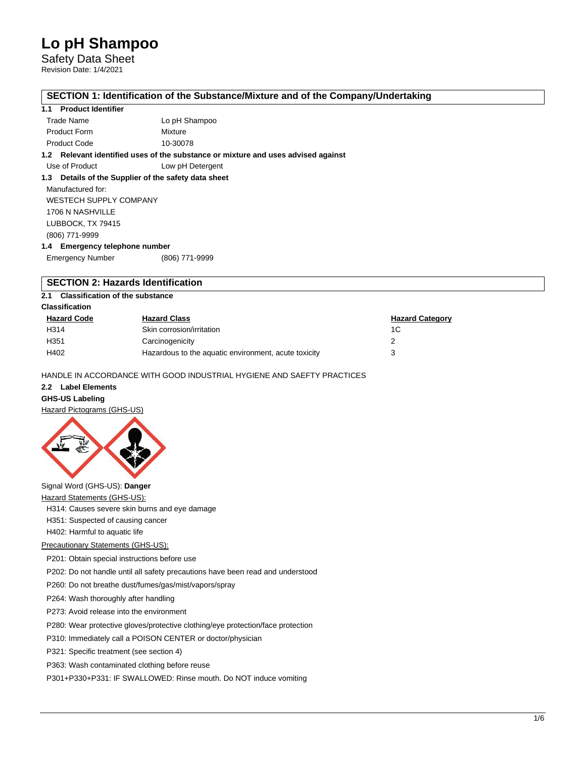Safety Data Sheet Revision Date: 1/4/2021

#### **SECTION 1: Identification of the Substance/Mixture and of the Company/Undertaking**

#### **1.1 Product Identifier**

| Trade Name          | Lo pH Shampoo |
|---------------------|---------------|
| <b>Product Form</b> | Mixture       |
| <b>Product Code</b> | 10-30078      |

**1.2 Relevant identified uses of the substance or mixture and uses advised against**

Use of Product Low pH Detergent

#### **1.3 Details of the Supplier of the safety data sheet**

Manufactured for: WESTECH SUPPLY COMPANY 1706 N NASHVILLE LUBBOCK, TX 79415 (806) 771-9999 **1.4 Emergency telephone number**

Emergency Number (806) 771-9999

## **SECTION 2: Hazards Identification**

**2.1 Classification of the substance**

#### **Classification**

| <b>Hazard Code</b> | <b>Hazard Class</b>                                  | <b>Hazard Category</b> |
|--------------------|------------------------------------------------------|------------------------|
| H314               | Skin corrosion/irritation                            | 1C                     |
| H <sub>351</sub>   | Carcinogenicity                                      |                        |
| H402               | Hazardous to the aquatic environment, acute toxicity |                        |

HANDLE IN ACCORDANCE WITH GOOD INDUSTRIAL HYGIENE AND SAEFTY PRACTICES

## **2.2 Label Elements**

**GHS-US Labeling**

Hazard Pictograms (GHS-US)



## Signal Word (GHS-US): **Danger**

Hazard Statements (GHS-US):

H314: Causes severe skin burns and eye damage

H351: Suspected of causing cancer

H402: Harmful to aquatic life

#### Precautionary Statements (GHS-US):

P201: Obtain special instructions before use

P202: Do not handle until all safety precautions have been read and understood

P260: Do not breathe dust/fumes/gas/mist/vapors/spray

P264: Wash thoroughly after handling

P273: Avoid release into the environment

P280: Wear protective gloves/protective clothing/eye protection/face protection

P310: Immediately call a POISON CENTER or doctor/physician

P321: Specific treatment (see section 4)

P363: Wash contaminated clothing before reuse

P301+P330+P331: IF SWALLOWED: Rinse mouth. Do NOT induce vomiting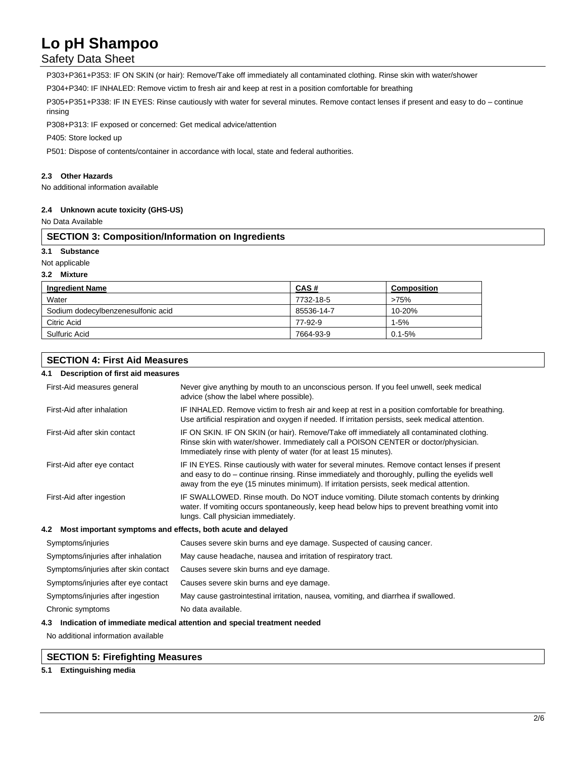## Safety Data Sheet

P303+P361+P353: IF ON SKIN (or hair): Remove/Take off immediately all contaminated clothing. Rinse skin with water/shower

P304+P340: IF INHALED: Remove victim to fresh air and keep at rest in a position comfortable for breathing

P305+P351+P338: IF IN EYES: Rinse cautiously with water for several minutes. Remove contact lenses if present and easy to do – continue rinsing

P308+P313: IF exposed or concerned: Get medical advice/attention

P405: Store locked up

P501: Dispose of contents/container in accordance with local, state and federal authorities.

#### **2.3 Other Hazards**

No additional information available

#### **2.4 Unknown acute toxicity (GHS-US)**

No Data Available

#### **SECTION 3: Composition/Information on Ingredients**

#### **3.1 Substance**

Not applicable

#### **3.2 Mixture**

| <b>Ingredient Name</b>             | CAS#       | <b>Composition</b> |
|------------------------------------|------------|--------------------|
| Water                              | 7732-18-5  | >75%               |
| Sodium dodecylbenzenesulfonic acid | 85536-14-7 | 10-20%             |
| Citric Acid                        | 77-92-9    | $1-5%$             |
| Sulfuric Acid                      | 7664-93-9  | $0.1 - 5%$         |

## **SECTION 4: First Aid Measures**

## **4.1 Description of first aid measures**

| First-Aid measures general                                         | Never give anything by mouth to an unconscious person. If you feel unwell, seek medical<br>advice (show the label where possible).                                                                                                                                                        |  |  |
|--------------------------------------------------------------------|-------------------------------------------------------------------------------------------------------------------------------------------------------------------------------------------------------------------------------------------------------------------------------------------|--|--|
| First-Aid after inhalation                                         | IF INHALED. Remove victim to fresh air and keep at rest in a position comfortable for breathing.<br>Use artificial respiration and oxygen if needed. If irritation persists, seek medical attention.                                                                                      |  |  |
| First-Aid after skin contact                                       | IF ON SKIN. IF ON SKIN (or hair). Remove/Take off immediately all contaminated clothing.<br>Rinse skin with water/shower. Immediately call a POISON CENTER or doctor/physician.<br>Immediately rinse with plenty of water (for at least 15 minutes).                                      |  |  |
| First-Aid after eye contact                                        | IF IN EYES. Rinse cautiously with water for several minutes. Remove contact lenses if present<br>and easy to do – continue rinsing. Rinse immediately and thoroughly, pulling the eyelids well<br>away from the eye (15 minutes minimum). If irritation persists, seek medical attention. |  |  |
| First-Aid after ingestion                                          | IF SWALLOWED. Rinse mouth. Do NOT induce vomiting. Dilute stomach contents by drinking<br>water. If vomiting occurs spontaneously, keep head below hips to prevent breathing vomit into<br>lungs. Call physician immediately.                                                             |  |  |
| Most important symptoms and effects, both acute and delayed<br>4.2 |                                                                                                                                                                                                                                                                                           |  |  |
| Symptoms/injuries                                                  | Causes severe skin burns and eye damage. Suspected of causing cancer.                                                                                                                                                                                                                     |  |  |
| Symptoms/injuries after inhalation                                 | May cause headache, nausea and irritation of respiratory tract.                                                                                                                                                                                                                           |  |  |
| Symptoms/injuries after skin contact                               | Causes severe skin burns and eye damage.                                                                                                                                                                                                                                                  |  |  |
| Symptoms/injuries after eye contact                                | Causes severe skin burns and eye damage.                                                                                                                                                                                                                                                  |  |  |
| Symptoms/injuries after ingestion                                  | May cause gastrointestinal irritation, nausea, vomiting, and diarrhea if swallowed.                                                                                                                                                                                                       |  |  |
| Chronic symptoms                                                   | No data available.                                                                                                                                                                                                                                                                        |  |  |
|                                                                    |                                                                                                                                                                                                                                                                                           |  |  |

#### **4.3 Indication of immediate medical attention and special treatment needed**

No additional information available

#### **SECTION 5: Firefighting Measures**

**5.1 Extinguishing media**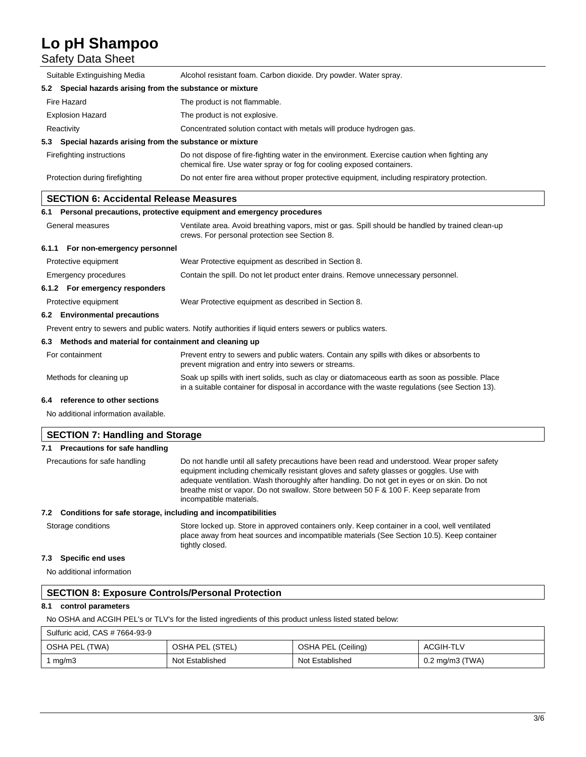## Safety Data Sheet

| Suitable Extinguishing Media                                                                             | Alcohol resistant foam. Carbon dioxide. Dry powder. Water spray.                                                                                                                                   |  |  |  |
|----------------------------------------------------------------------------------------------------------|----------------------------------------------------------------------------------------------------------------------------------------------------------------------------------------------------|--|--|--|
| Special hazards arising from the substance or mixture<br>5.2                                             |                                                                                                                                                                                                    |  |  |  |
| Fire Hazard                                                                                              | The product is not flammable.                                                                                                                                                                      |  |  |  |
| <b>Explosion Hazard</b>                                                                                  | The product is not explosive.                                                                                                                                                                      |  |  |  |
| Reactivity                                                                                               | Concentrated solution contact with metals will produce hydrogen gas.                                                                                                                               |  |  |  |
| Special hazards arising from the substance or mixture<br>5.3                                             |                                                                                                                                                                                                    |  |  |  |
| Firefighting instructions                                                                                | Do not dispose of fire-fighting water in the environment. Exercise caution when fighting any<br>chemical fire. Use water spray or fog for cooling exposed containers.                              |  |  |  |
| Protection during firefighting                                                                           | Do not enter fire area without proper protective equipment, including respiratory protection.                                                                                                      |  |  |  |
| <b>SECTION 6: Accidental Release Measures</b>                                                            |                                                                                                                                                                                                    |  |  |  |
|                                                                                                          | 6.1 Personal precautions, protective equipment and emergency procedures                                                                                                                            |  |  |  |
| General measures                                                                                         | Ventilate area. Avoid breathing vapors, mist or gas. Spill should be handled by trained clean-up<br>crews. For personal protection see Section 8.                                                  |  |  |  |
|                                                                                                          | 6.1.1 For non-emergency personnel                                                                                                                                                                  |  |  |  |
| Protective equipment                                                                                     | Wear Protective equipment as described in Section 8.                                                                                                                                               |  |  |  |
| Emergency procedures                                                                                     | Contain the spill. Do not let product enter drains. Remove unnecessary personnel.                                                                                                                  |  |  |  |
| 6.1.2 For emergency responders                                                                           |                                                                                                                                                                                                    |  |  |  |
| Protective equipment                                                                                     | Wear Protective equipment as described in Section 8.                                                                                                                                               |  |  |  |
| 6.2 Environmental precautions                                                                            |                                                                                                                                                                                                    |  |  |  |
| Prevent entry to sewers and public waters. Notify authorities if liquid enters sewers or publics waters. |                                                                                                                                                                                                    |  |  |  |
| Methods and material for containment and cleaning up<br>6.3                                              |                                                                                                                                                                                                    |  |  |  |
| For containment                                                                                          | Prevent entry to sewers and public waters. Contain any spills with dikes or absorbents to<br>prevent migration and entry into sewers or streams.                                                   |  |  |  |
| Methods for cleaning up                                                                                  | Soak up spills with inert solids, such as clay or diatomaceous earth as soon as possible. Place<br>in a suitable container for disposal in accordance with the waste regulations (see Section 13). |  |  |  |
| reference to other sections<br>6.4                                                                       |                                                                                                                                                                                                    |  |  |  |
| No additional information available.                                                                     |                                                                                                                                                                                                    |  |  |  |

| <b>SECTION 7: Handling and Storage</b>                           |                                                                                                                                                                                                                                                                                                                                                                                                            |  |
|------------------------------------------------------------------|------------------------------------------------------------------------------------------------------------------------------------------------------------------------------------------------------------------------------------------------------------------------------------------------------------------------------------------------------------------------------------------------------------|--|
| 7.1 Precautions for safe handling                                |                                                                                                                                                                                                                                                                                                                                                                                                            |  |
| Precautions for safe handling                                    | Do not handle until all safety precautions have been read and understood. Wear proper safety<br>equipment including chemically resistant gloves and safety glasses or goggles. Use with<br>adequate ventilation. Wash thoroughly after handling. Do not get in eyes or on skin. Do not<br>breathe mist or vapor. Do not swallow. Store between 50 F & 100 F. Keep separate from<br>incompatible materials. |  |
| 7.2 Conditions for safe storage, including and incompatibilities |                                                                                                                                                                                                                                                                                                                                                                                                            |  |
| Storage conditions                                               | Store locked up. Store in approved containers only. Keep container in a cool, well ventilated<br>place away from heat sources and incompatible materials (See Section 10.5). Keep container                                                                                                                                                                                                                |  |

### **7.3 Specific end uses**

No additional information

## **SECTION 8: Exposure Controls/Personal Protection**

## **8.1 control parameters**

No OSHA and ACGIH PEL's or TLV's for the listed ingredients of this product unless listed stated below:

tightly closed.

| Sulfuric acid, CAS # 7664-93-9 |                 |                    |                   |
|--------------------------------|-----------------|--------------------|-------------------|
| OSHA PEL (TWA)                 | OSHA PEL (STEL) | OSHA PEL (Ceiling) | ACGIH-TLV         |
| mg/m3                          | Not Established | Not Established    | $0.2$ mg/m3 (TWA) |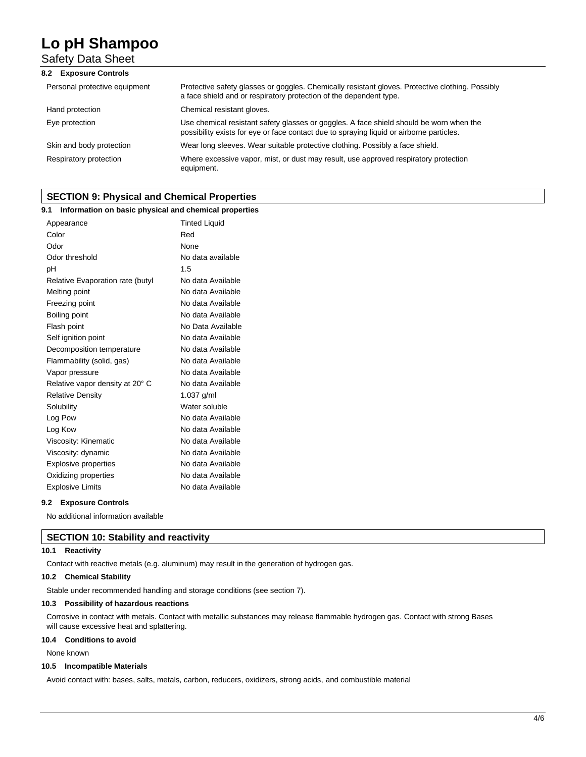Safety Data Sheet

| 8.2 Exposure Controls         |                                                                                                                                                                                     |
|-------------------------------|-------------------------------------------------------------------------------------------------------------------------------------------------------------------------------------|
| Personal protective equipment | Protective safety glasses or goggles. Chemically resistant gloves. Protective clothing. Possibly<br>a face shield and or respiratory protection of the dependent type.              |
| Hand protection               | Chemical resistant gloves.                                                                                                                                                          |
| Eye protection                | Use chemical resistant safety glasses or goggles. A face shield should be worn when the<br>possibility exists for eye or face contact due to spraying liquid or airborne particles. |
| Skin and body protection      | Wear long sleeves. Wear suitable protective clothing. Possibly a face shield.                                                                                                       |
| Respiratory protection        | Where excessive vapor, mist, or dust may result, use approved respiratory protection<br>equipment.                                                                                  |

## **SECTION 9: Physical and Chemical Properties**

#### **9.1 Information on basic physical and chemical properties**

| Appearance                       | <b>Tinted Liquid</b> |
|----------------------------------|----------------------|
| Color                            | Red                  |
| Odor                             | None                 |
| Odor threshold                   | No data available    |
| pH                               | 1.5                  |
| Relative Evaporation rate (butyl | No data Available    |
| Melting point                    | No data Available    |
| Freezing point                   | No data Available    |
| Boiling point                    | No data Available    |
| Flash point                      | No Data Available    |
| Self ignition point              | No data Available    |
| Decomposition temperature        | No data Available    |
| Flammability (solid, gas)        | No data Available    |
| Vapor pressure                   | No data Available    |
| Relative vapor density at 20° C  | No data Available    |
| <b>Relative Density</b>          | $1.037$ g/ml         |
| Solubility                       | Water soluble        |
| Log Pow                          | No data Available    |
| Log Kow                          | No data Available    |
| Viscosity: Kinematic             | No data Available    |
| Viscosity: dynamic               | No data Available    |
| <b>Explosive properties</b>      | No data Available    |
| Oxidizing properties             | No data Available    |
| <b>Explosive Limits</b>          | No data Available    |
|                                  |                      |

#### **9.2 Exposure Controls**

No additional information available

### **SECTION 10: Stability and reactivity**

#### **10.1 Reactivity**

Contact with reactive metals (e.g. aluminum) may result in the generation of hydrogen gas.

#### **10.2 Chemical Stability**

Stable under recommended handling and storage conditions (see section 7).

#### **10.3 Possibility of hazardous reactions**

Corrosive in contact with metals. Contact with metallic substances may release flammable hydrogen gas. Contact with strong Bases will cause excessive heat and splattering.

#### **10.4 Conditions to avoid**

None known

#### **10.5 Incompatible Materials**

Avoid contact with: bases, salts, metals, carbon, reducers, oxidizers, strong acids, and combustible material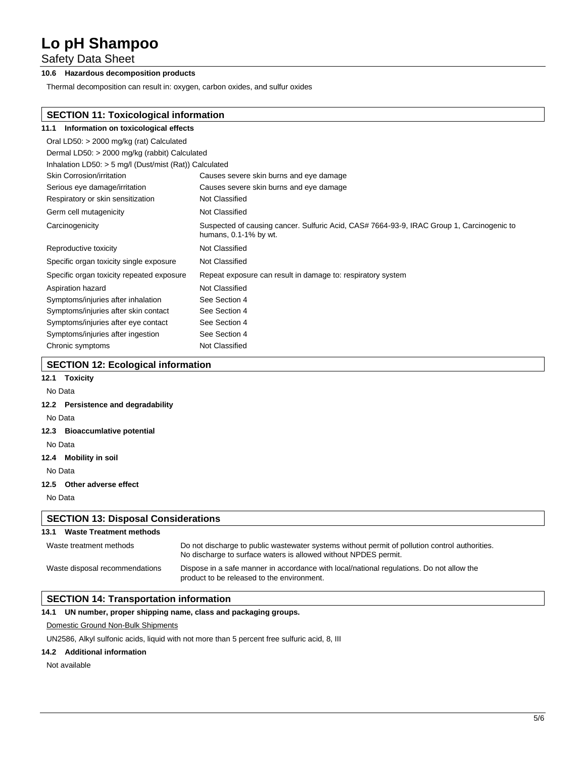Safety Data Sheet

## **10.6 Hazardous decomposition products**

Thermal decomposition can result in: oxygen, carbon oxides, and sulfur oxides

## **SECTION 11: Toxicological information**

| 11.1 Information on toxicological effects                |                                                                                                                    |
|----------------------------------------------------------|--------------------------------------------------------------------------------------------------------------------|
| Oral LD50: > 2000 mg/kg (rat) Calculated                 |                                                                                                                    |
| Dermal LD50: > 2000 mg/kg (rabbit) Calculated            |                                                                                                                    |
| Inhalation LD50: $>$ 5 mg/l (Dust/mist (Rat)) Calculated |                                                                                                                    |
| <b>Skin Corrosion/irritation</b>                         | Causes severe skin burns and eye damage                                                                            |
| Serious eye damage/irritation                            | Causes severe skin burns and eye damage                                                                            |
| Respiratory or skin sensitization                        | Not Classified                                                                                                     |
| Germ cell mutagenicity                                   | Not Classified                                                                                                     |
| Carcinogenicity                                          | Suspected of causing cancer. Sulfuric Acid, CAS# 7664-93-9, IRAC Group 1, Carcinogenic to<br>humans, 0.1-1% by wt. |
| Reproductive toxicity                                    | Not Classified                                                                                                     |
| Specific organ toxicity single exposure                  | Not Classified                                                                                                     |
| Specific organ toxicity repeated exposure                | Repeat exposure can result in damage to: respiratory system                                                        |
| Aspiration hazard                                        | Not Classified                                                                                                     |
| Symptoms/injuries after inhalation                       | See Section 4                                                                                                      |
| Symptoms/injuries after skin contact                     | See Section 4                                                                                                      |
| Symptoms/injuries after eye contact                      | See Section 4                                                                                                      |
| Symptoms/injuries after ingestion                        | See Section 4                                                                                                      |
| Chronic symptoms                                         | Not Classified                                                                                                     |

## **SECTION 12: Ecological information**

## **12.1 Toxicity** No Data

## **12.2 Persistence and degradability**

No Data

#### **12.3 Bioaccumlative potential**

No Data

### **12.4 Mobility in soil**

No Data **12.5 Other adverse effect**

No Data

#### **SECTION 13: Disposal Considerations**

| <b>Waste Treatment methods</b><br>13.1 |                                                                                                                                                                   |
|----------------------------------------|-------------------------------------------------------------------------------------------------------------------------------------------------------------------|
| Waste treatment methods                | Do not discharge to public wastewater systems without permit of pollution control authorities.<br>No discharge to surface waters is allowed without NPDES permit. |
| Waste disposal recommendations         | Dispose in a safe manner in accordance with local/national regulations. Do not allow the<br>product to be released to the environment.                            |

## **SECTION 14: Transportation information**

#### **14.1 UN number, proper shipping name, class and packaging groups.**

#### Domestic Ground Non-Bulk Shipments

UN2586, Alkyl sulfonic acids, liquid with not more than 5 percent free sulfuric acid, 8, III

#### **14.2 Additional information**

#### Not available